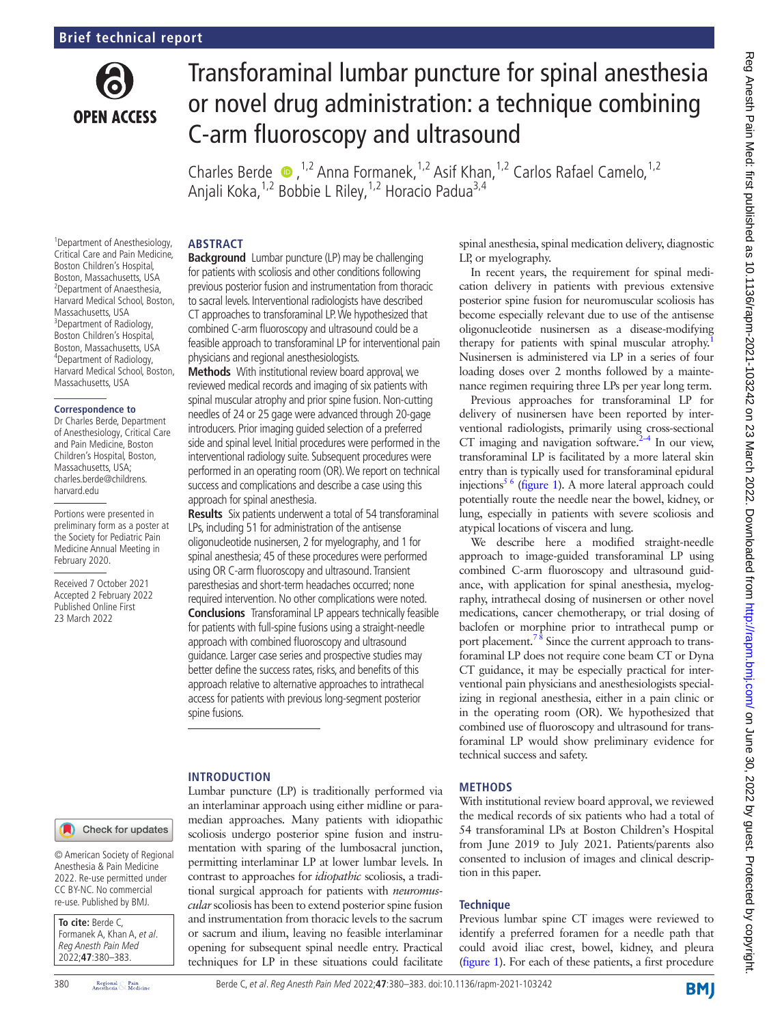

# Transforaminal lumbar puncture for spinal anesthesia or novel drug administration: a technique combining C-arm fluoroscopy and ultrasound

CharlesBerde  $\bullet$ ,<sup>1,2</sup> Anna Formanek,<sup>1,2</sup> Asif Khan,<sup>1,2</sup> Carlos Rafael Camelo,<sup>1,2</sup> Anjali Koka,<sup>1,2</sup> Bobbie L Riley,<sup>1,2</sup> Horacio Padua<sup>3,4</sup>

## **ABSTRACT**

1 Department of Anesthesiology, Critical Care and Pain Medicine, Boston Children's Hospital, Boston, Massachusetts, USA 2 Department of Anaesthesia, Harvard Medical School, Boston, Massachusetts, USA <sup>3</sup>Department of Radiology, Boston Children's Hospital, Boston, Massachusetts, USA 4 Department of Radiology, Harvard Medical School, Boston, Massachusetts, USA

#### **Correspondence to**

Dr Charles Berde, Department of Anesthesiology, Critical Care and Pain Medicine, Boston Children's Hospital, Boston, Massachusetts, USA; charles.berde@childrens. harvard.edu

Portions were presented in preliminary form as a poster at the Society for Pediatric Pain Medicine Annual Meeting in February 2020.

Received 7 October 2021 Accepted 2 February 2022 Published Online First 23 March 2022

**Background** Lumbar puncture (LP) may be challenging for patients with scoliosis and other conditions following previous posterior fusion and instrumentation from thoracic to sacral levels. Interventional radiologists have described CT approaches to transforaminal LP. We hypothesized that combined C-arm fluoroscopy and ultrasound could be a feasible approach to transforaminal LP for interventional pain physicians and regional anesthesiologists.

**Methods** With institutional review board approval, we reviewed medical records and imaging of six patients with spinal muscular atrophy and prior spine fusion. Non-cutting needles of 24 or 25 gage were advanced through 20-gage introducers. Prior imaging guided selection of a preferred side and spinal level. Initial procedures were performed in the interventional radiology suite. Subsequent procedures were performed in an operating room (OR). We report on technical success and complications and describe a case using this approach for spinal anesthesia.

**Results** Six patients underwent a total of 54 transforaminal LPs, including 51 for administration of the antisense oligonucleotide nusinersen, 2 for myelography, and 1 for spinal anesthesia; 45 of these procedures were performed using OR C-arm fluoroscopy and ultrasound. Transient paresthesias and short-term headaches occurred; none required intervention. No other complications were noted. **Conclusions** Transforaminal LP appears technically feasible for patients with full-spine fusions using a straight-needle approach with combined fluoroscopy and ultrasound guidance. Larger case series and prospective studies may better define the success rates, risks, and benefits of this approach relative to alternative approaches to intrathecal access for patients with previous long-segment posterior spine fusions.

#### **INTRODUCTION**

Lumbar puncture (LP) is traditionally performed via an interlaminar approach using either midline or paramedian approaches. Many patients with idiopathic scoliosis undergo posterior spine fusion and instrumentation with sparing of the lumbosacral junction, permitting interlaminar LP at lower lumbar levels. In contrast to approaches for *idiopathic* scoliosis, a traditional surgical approach for patients with *neuromuscular* scoliosis has been to extend posterior spine fusion and instrumentation from thoracic levels to the sacrum or sacrum and ilium, leaving no feasible interlaminar opening for subsequent spinal needle entry. Practical techniques for LP in these situations could facilitate

spinal anesthesia, spinal medication delivery, diagnostic LP, or myelography.

In recent years, the requirement for spinal medication delivery in patients with previous extensive posterior spine fusion for neuromuscular scoliosis has become especially relevant due to use of the antisense oligonucleotide nusinersen as a disease-modifying therapy for patients with spinal muscular atrophy.<sup>1</sup> Nusinersen is administered via LP in a series of four loading doses over 2 months followed by a maintenance regimen requiring three LPs per year long term.

Previous approaches for transforaminal LP for delivery of nusinersen have been reported by interventional radiologists, primarily using cross-sectional CT imaging and navigation software. $2-4$  In our view, transforaminal LP is facilitated by a more lateral skin entry than is typically used for transforaminal epidural injections<sup>5 6</sup> [\(figure](#page-1-0) 1). A more lateral approach could potentially route the needle near the bowel, kidney, or lung, especially in patients with severe scoliosis and atypical locations of viscera and lung.

We describe here a modified straight-needle approach to image-guided transforaminal LP using combined C-arm fluoroscopy and ultrasound guidance, with application for spinal anesthesia, myelography, intrathecal dosing of nusinersen or other novel medications, cancer chemotherapy, or trial dosing of baclofen or morphine prior to intrathecal pump or port placement.<sup>78</sup> Since the current approach to transforaminal LP does not require cone beam CT or Dyna CT guidance, it may be especially practical for interventional pain physicians and anesthesiologists specializing in regional anesthesia, either in a pain clinic or in the operating room (OR). We hypothesized that combined use of fluoroscopy and ultrasound for transforaminal LP would show preliminary evidence for technical success and safety.

### **METHODS**

With institutional review board approval, we reviewed the medical records of six patients who had a total of 54 transforaminal LPs at Boston Children's Hospital from June 2019 to July 2021. Patients/parents also consented to inclusion of images and clinical description in this paper.

### **Technique**

Previous lumbar spine CT images were reviewed to identify a preferred foramen for a needle path that could avoid iliac crest, bowel, kidney, and pleura [\(figure](#page-1-0) 1). For each of these patients, a first procedure

Check for updates

© American Society of Regional Anesthesia & Pain Medicine 2022. Re-use permitted under CC BY-NC. No commercial re-use. Published by BMJ.

**To cite:** Berde C, Formanek A, Khan A, et al. Reg Anesth Pain Med 2022;**47**:380–383.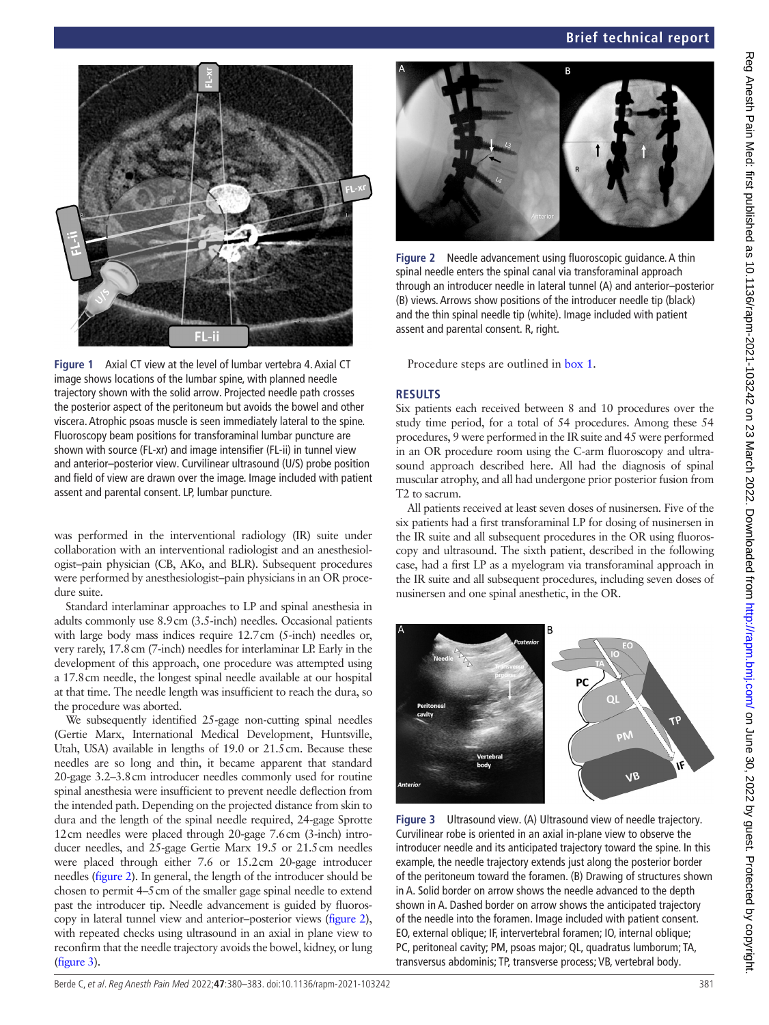

**Figure 1** Axial CT view at the level of lumbar vertebra 4. Axial CT image shows locations of the lumbar spine, with planned needle trajectory shown with the solid arrow. Projected needle path crosses the posterior aspect of the peritoneum but avoids the bowel and other viscera. Atrophic psoas muscle is seen immediately lateral to the spine. Fluoroscopy beam positions for transforaminal lumbar puncture are shown with source (FL-xr) and image intensifier (FL-ii) in tunnel view and anterior–posterior view. Curvilinear ultrasound (U/S) probe position and field of view are drawn over the image. Image included with patient assent and parental consent. LP, lumbar puncture.

<span id="page-1-0"></span>was performed in the interventional radiology (IR) suite under collaboration with an interventional radiologist and an anesthesiologist–pain physician (CB, AKo, and BLR). Subsequent procedures were performed by anesthesiologist–pain physicians in an OR procedure suite.

Standard interlaminar approaches to LP and spinal anesthesia in adults commonly use 8.9cm (3.5-inch) needles. Occasional patients with large body mass indices require 12.7cm (5-inch) needles or, very rarely, 17.8cm (7-inch) needles for interlaminar LP. Early in the development of this approach, one procedure was attempted using a 17.8cm needle, the longest spinal needle available at our hospital at that time. The needle length was insufficient to reach the dura, so the procedure was aborted.

We subsequently identified 25-gage non-cutting spinal needles (Gertie Marx, International Medical Development, Huntsville, Utah, USA) available in lengths of 19.0 or 21.5cm. Because these needles are so long and thin, it became apparent that standard 20-gage 3.2–3.8cm introducer needles commonly used for routine spinal anesthesia were insufficient to prevent needle deflection from the intended path. Depending on the projected distance from skin to dura and the length of the spinal needle required, 24-gage Sprotte 12cm needles were placed through 20-gage 7.6cm (3-inch) introducer needles, and 25-gage Gertie Marx 19.5 or 21.5cm needles were placed through either 7.6 or 15.2cm 20-gage introducer needles [\(figure](#page-1-1) 2). In general, the length of the introducer should be chosen to permit 4–5cm of the smaller gage spinal needle to extend past the introducer tip. Needle advancement is guided by fluoroscopy in lateral tunnel view and anterior–posterior views ([figure](#page-1-1) 2), with repeated checks using ultrasound in an axial in plane view to reconfirm that the needle trajectory avoids the bowel, kidney, or lung ([figure](#page-1-2) 3).



**Figure 2** Needle advancement using fluoroscopic guidance. A thin spinal needle enters the spinal canal via transforaminal approach through an introducer needle in lateral tunnel (A) and anterior–posterior (B) views. Arrows show positions of the introducer needle tip (black) and the thin spinal needle tip (white). Image included with patient assent and parental consent. R, right.

<span id="page-1-1"></span>Procedure steps are outlined in [box](#page-2-0) 1.

# **RESULTS**

Six patients each received between 8 and 10 procedures over the study time period, for a total of 54 procedures. Among these 54 procedures, 9 were performed in the IR suite and 45 were performed in an OR procedure room using the C-arm fluoroscopy and ultrasound approach described here. All had the diagnosis of spinal muscular atrophy, and all had undergone prior posterior fusion from T2 to sacrum.

All patients received at least seven doses of nusinersen. Five of the six patients had a first transforaminal LP for dosing of nusinersen in the IR suite and all subsequent procedures in the OR using fluoroscopy and ultrasound. The sixth patient, described in the following case, had a first LP as a myelogram via transforaminal approach in the IR suite and all subsequent procedures, including seven doses of nusinersen and one spinal anesthetic, in the OR.



<span id="page-1-2"></span>**Figure 3** Ultrasound view. (A) Ultrasound view of needle trajectory. Curvilinear robe is oriented in an axial in-plane view to observe the introducer needle and its anticipated trajectory toward the spine. In this example, the needle trajectory extends just along the posterior border of the peritoneum toward the foramen. (B) Drawing of structures shown in A. Solid border on arrow shows the needle advanced to the depth shown in A. Dashed border on arrow shows the anticipated trajectory of the needle into the foramen. Image included with patient consent. EO, external oblique; IF, intervertebral foramen; IO, internal oblique; PC, peritoneal cavity; PM, psoas major; QL, quadratus lumborum; TA, transversus abdominis; TP, transverse process; VB, vertebral body.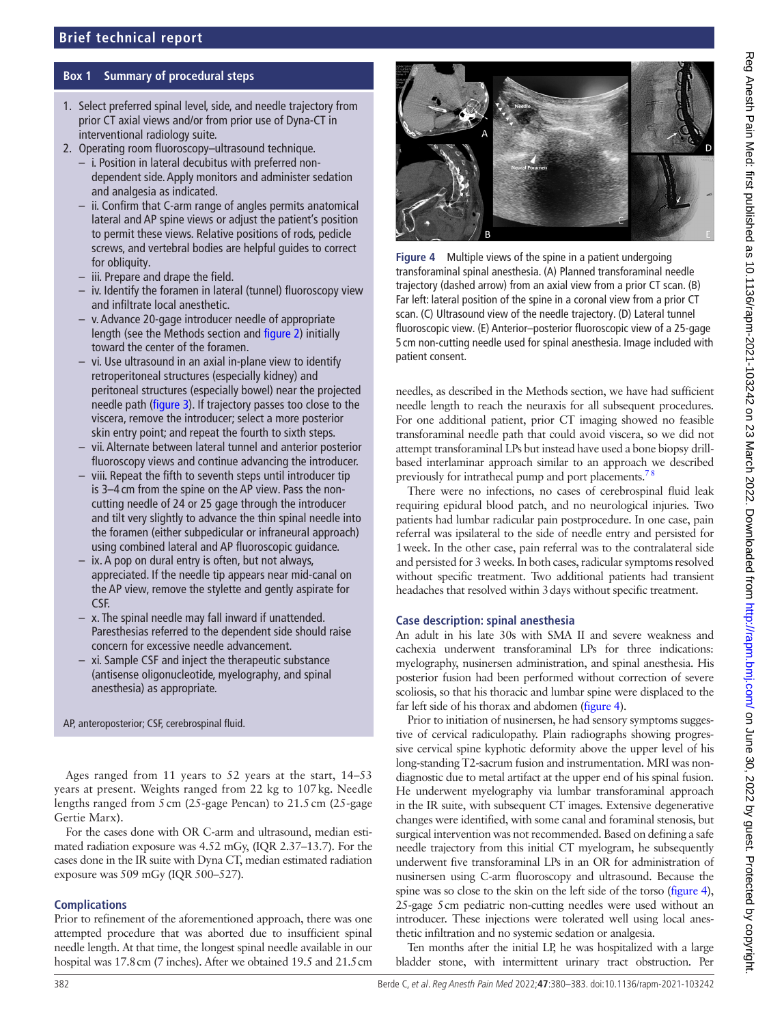# **Box 1 Summary of procedural steps**

- <span id="page-2-0"></span>1. Select preferred spinal level, side, and needle trajectory from prior CT axial views and/or from prior use of Dyna-CT in interventional radiology suite.
- 2. Operating room fluoroscopy–ultrasound technique.
	- i. Position in lateral decubitus with preferred nondependent side. Apply monitors and administer sedation and analgesia as indicated.
	- ii. Confirm that C-arm range of angles permits anatomical lateral and AP spine views or adjust the patient's position to permit these views. Relative positions of rods, pedicle screws, and vertebral bodies are helpful guides to correct for obliquity.
	- iii. Prepare and drape the field.
	- iv. Identify the foramen in lateral (tunnel) fluoroscopy view and infiltrate local anesthetic.
	- v. Advance 20-gage introducer needle of appropriate length (see the Methods section and [figure 2](#page-1-1)) initially toward the center of the foramen.
	- vi. Use ultrasound in an axial in-plane view to identify retroperitoneal structures (especially kidney) and peritoneal structures (especially bowel) near the projected needle path [\(figure 3](#page-1-2)). If trajectory passes too close to the viscera, remove the introducer; select a more posterior skin entry point; and repeat the fourth to sixth steps.
	- vii. Alternate between lateral tunnel and anterior posterior fluoroscopy views and continue advancing the introducer.
	- viii. Repeat the fifth to seventh steps until introducer tip is 3–4 cm from the spine on the AP view. Pass the noncutting needle of 24 or 25 gage through the introducer and tilt very slightly to advance the thin spinal needle into the foramen (either subpedicular or infraneural approach) using combined lateral and AP fluoroscopic guidance.
	- ix. A pop on dural entry is often, but not always, appreciated. If the needle tip appears near mid-canal on the AP view, remove the stylette and gently aspirate for CSF.
	- x. The spinal needle may fall inward if unattended. Paresthesias referred to the dependent side should raise concern for excessive needle advancement.
	- xi. Sample CSF and inject the therapeutic substance (antisense oligonucleotide, myelography, and spinal anesthesia) as appropriate.

AP, anteroposterior; CSF, cerebrospinal fluid.

Ages ranged from 11 years to 52 years at the start, 14–53 years at present. Weights ranged from 22 kg to 107kg. Needle lengths ranged from 5cm (25-gage Pencan) to 21.5cm (25-gage Gertie Marx).

For the cases done with OR C-arm and ultrasound, median estimated radiation exposure was 4.52 mGy, (IQR 2.37–13.7). For the cases done in the IR suite with Dyna CT, median estimated radiation exposure was 509 mGy (IQR 500–527).

# **Complications**

Prior to refinement of the aforementioned approach, there was one attempted procedure that was aborted due to insufficient spinal needle length. At that time, the longest spinal needle available in our hospital was 17.8cm (7 inches). After we obtained 19.5 and 21.5cm



<span id="page-2-1"></span>**Figure 4** Multiple views of the spine in a patient undergoing transforaminal spinal anesthesia. (A) Planned transforaminal needle trajectory (dashed arrow) from an axial view from a prior CT scan. (B) Far left: lateral position of the spine in a coronal view from a prior CT scan. (C) Ultrasound view of the needle trajectory. (D) Lateral tunnel fluoroscopic view. (E) Anterior–posterior fluoroscopic view of a 25-gage 5 cm non-cutting needle used for spinal anesthesia. Image included with patient consent.

needles, as described in the Methods section, we have had sufficient needle length to reach the neuraxis for all subsequent procedures. For one additional patient, prior CT imaging showed no feasible transforaminal needle path that could avoid viscera, so we did not attempt transforaminal LPs but instead have used a bone biopsy drillbased interlaminar approach similar to an approach we described previously for intrathecal pump and port placements.<sup>7</sup>

There were no infections, no cases of cerebrospinal fluid leak requiring epidural blood patch, and no neurological injuries. Two patients had lumbar radicular pain postprocedure. In one case, pain referral was ipsilateral to the side of needle entry and persisted for 1week. In the other case, pain referral was to the contralateral side and persisted for 3 weeks. In both cases, radicular symptoms resolved without specific treatment. Two additional patients had transient headaches that resolved within 3days without specific treatment.

# **Case description: spinal anesthesia**

An adult in his late 30s with SMA II and severe weakness and cachexia underwent transforaminal LPs for three indications: myelography, nusinersen administration, and spinal anesthesia. His posterior fusion had been performed without correction of severe scoliosis, so that his thoracic and lumbar spine were displaced to the far left side of his thorax and abdomen [\(figure](#page-2-1) 4).

Prior to initiation of nusinersen, he had sensory symptoms suggestive of cervical radiculopathy. Plain radiographs showing progressive cervical spine kyphotic deformity above the upper level of his long-standing T2-sacrum fusion and instrumentation. MRI was nondiagnostic due to metal artifact at the upper end of his spinal fusion. He underwent myelography via lumbar transforaminal approach in the IR suite, with subsequent CT images. Extensive degenerative changes were identified, with some canal and foraminal stenosis, but surgical intervention was not recommended. Based on defining a safe needle trajectory from this initial CT myelogram, he subsequently underwent five transforaminal LPs in an OR for administration of nusinersen using C-arm fluoroscopy and ultrasound. Because the spine was so close to the skin on the left side of the torso ([figure](#page-2-1) 4), 25-gage 5cm pediatric non-cutting needles were used without an introducer. These injections were tolerated well using local anesthetic infiltration and no systemic sedation or analgesia.

Ten months after the initial LP, he was hospitalized with a large bladder stone, with intermittent urinary tract obstruction. Per